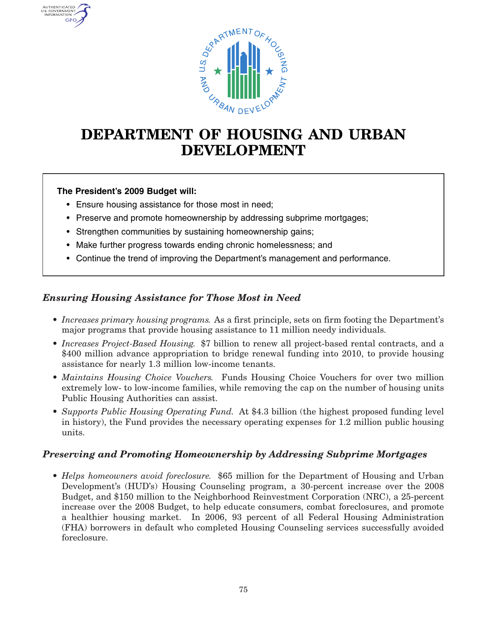AUTHENTICATED<br>U.S. GOVERNMENT<br>INFORMATION **GPO** 



# **DEPARTMENT OF HOUSING AND URBAN DEVELOPMENT**

# **The President's 2009 Budget will:**

- Ensure housing assistance for those most in need;
- Preserve and promote homeownership by addressing subprime mortgages;
- Strengthen communities by sustaining homeownership gains;
- Make further progress towards ending chronic homelessness; and
- Continue the trend of improving the Department's management and performance.

# *Ensuring Housing Assistance for Those Most in Need*

- *Increases primary housing programs.* As <sup>a</sup> first principle, sets on firm footing the Department's major programs that provide housing assistance to 11 million needy individuals.
- *Increases Project-Based Housing.* \$7 billion to renew all project-based rental contracts, and <sup>a</sup> \$400 million advance appropriation to bridge renewal funding into 2010, to provide housing assistance for nearly 1.3 million low-income tenants.
- *Maintains Housing Choice Vouchers.* Funds Housing Choice Vouchers for over two million extremely low- to low-income families, while removing the cap on the number of housing units Public Housing Authorities can assist.
- *Supports Public Housing Operating Fund.* At \$4.3 billion (the highest proposed funding level in history), the Fund provides the necessary operating expenses for 1.2 million public housing units.

# *Preserving and Promoting Homeownership by Addressing Subprime Mortgages*

• *Helps homeowners avoid foreclosure.* \$65 million for the Department of Housing and Urban Development's (HUD's) Housing Counseling program, <sup>a</sup> 30-percent increase over the 2008 Budget, and \$150 million to the Neighborhood Reinvestment Corporation (NRC), <sup>a</sup> 25-percent increase over the 2008 Budget, to help educate consumers, combat foreclosures, and promote <sup>a</sup> healthier housing market. In 2006, 93 percent of all Federal Housing Administration (FHA) borrowers in default who completed Housing Counseling services successfully avoided foreclosure.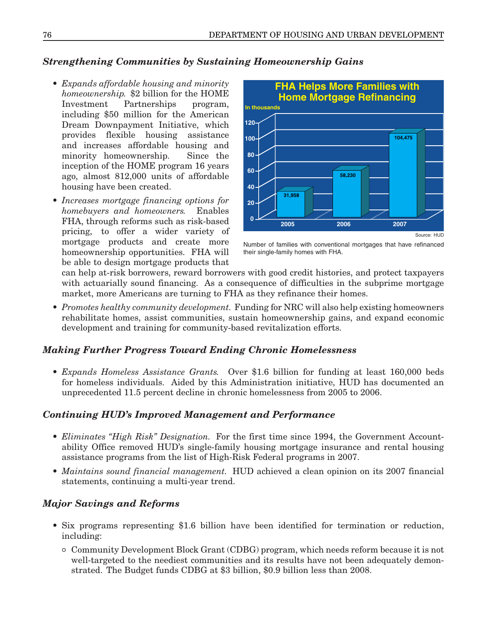# *Strengthening Communities by Sustaining Homeownership Gains*

- *Expands affordable housing and minority homeownership.* \$2 billion for the HOME Investment Partnerships program, including \$50 million for the American Dream Downpayment Initiative, which provides flexible housing assistance and increases affordable housing and minority homeownership. Since the inception of the HOME program 16 years ago, almost 812,000 units of affordable housing have been created.
- *Increases mortgage financing options for homebuyers and homeowners.* Enables FHA, through reforms such as risk-based pricing, to offer <sup>a</sup> wider variety of mortgage products and create more homeownership opportunities. FHA will be able to design mortgage products that



Number of families with conventional mortgages that have refinanced their single-family homes with FHA.

can help at-risk borrowers, reward borrowers with good credit histories, and protect taxpayers with actuarially sound financing. As <sup>a</sup> consequence of difficulties in the subprime mortgage market, more Americans are turning to FHA as they refinance their homes.

• *Promotes healthy community development.* Funding for NRC will also help existing homeowners rehabilitate homes, assist communities, sustain homeownership gains, and expand economic development and training for community-based revitalization efforts.

# *Making Further Progress Toward Ending Chronic Homelessness*

• *Expands Homeless Assistance Grants.* Over \$1.6 billion for funding at least 160,000 beds for homeless individuals. Aided by this Administration initiative, HUD has documented an unprecedented 11.5 percent decline in chronic homelessness from 2005 to 2006.

# *Continuing HUD's Improved Management and Performance*

- *Eliminates "High Risk" Designation.* For the first time since 1994, the Government Accountability Office removed HUD's single-family housing mortgage insurance and rental housing assistance programs from the list of High-Risk Federal programs in 2007.
- *Maintains sound financial management.* HUD achieved <sup>a</sup> clean opinion on its 2007 financial statements, continuing <sup>a</sup> multi-year trend.

# *Major Savings and Reforms*

- Six programs representing \$1.6 billion have been identified for termination or reduction, including:
	- ° Community Development Block Grant (CDBG) program, which needs reform because it is not well-targeted to the neediest communities and its results have not been adequately demonstrated. The Budget funds CDBG at \$3 billion, \$0.9 billion less than 2008.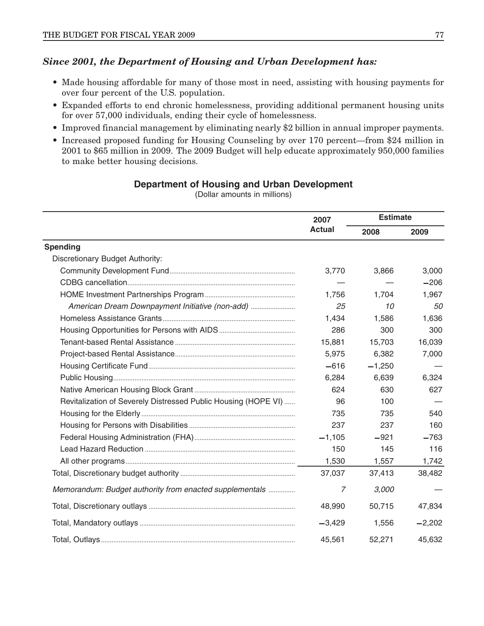#### *Since 2001, the Department of Housing and Urban Development has:*

- Made housing affordable for many of those most in need, assisting with housing payments for over four percent of the U.S. population.
- Expanded efforts to end chronic homelessness, providing additional permanent housing units for over 57,000 individuals, ending their cycle of homelessness.
- Improved financial management by eliminating nearly \$2 billion in annual improper payments.
- Increased proposed funding for Housing Counseling by over 170 percent—from \$24 million in 2001 to \$65 million in 2009. The 2009 Budget will help educate approximately 950,000 families to make better housing decisions.

#### **Department of Housing and Urban Development**

**Estimate 2007 Actual 2008 2009 Spending** Discretionary Budget Authority: Community Development Fund....................................................................... 3,770 3,866 3,000 CDBG cancellation............................................................................................... — — 206 HOME Investment Partnerships Program ................................................... 1,756 1,704 1,967 *American Dream Downpayment Initiative (non-add)* ......................... *25 10 50* Homeless Assistance Grants........................................................................... 1,434 1,586 1,636 Housing Opportunities for Persons with AIDS........................................... 286 300 300 Tenant-based Rental Assistance.................................................................... 15,881 15,703 16,039 Project-based Rental Assistance.................................................................... 5,975 6,382 7,000 Housing Certificate Fund................................................................................... 616 1,250 — Public Housing....................................................................................................... 6,284 6,639 6,324 Native American Housing Block Grant......................................................... 624 630 627 Revitalization of Severely Distressed Public Housing (HOPE VI) ...... 96 100 Housing for the Elderly ....................................................................................... 735 735 540 Housing for Persons with Disabilities ............................................................ 237 237 160 Federal Housing Administration (FHA)......................................................... 1,105 921 763 Lead Hazard Reduction..................................................................................... 150 145 116 All other programs................................................................................................ 1,530 1,557 1,742 Total, Discretionary budget authority ................................................................. 37,037 37,413 38,482 *Memorandum: Budget authority from enacted supplementals* ............... *7 3,000* — Total, Discretionary outlays ................................................................................... 48,990 50,715 47,834 Total, Mandatory outlays ........................................................................................ 3,429 1,556 2,202 Total, Outlays.............................................................................................................. 45,561 52,271 45,632

#### (Dollar amounts in millions)